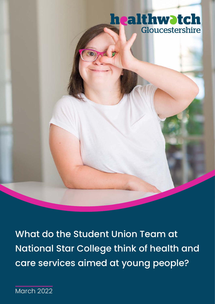# **healthwatch** Gloucestershire

What do the Student Union Team at National Star College think of health and care services aimed at young people?

March 2022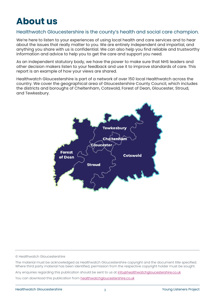## **About us**

#### Healthwatch Gloucestershire is the county's health and social care champion.

We're here to listen to your experiences of using local health and care services and to hear about the issues that really matter to you. We are entirely independent and impartial, and anything you share with us is confidential. We can also help you find reliable and trustworthy information and advice to help you to get the care and support you need.

As an independent statutory body, we have the power to make sure that NHS leaders and other decision makers listen to your feedback and use it to improve standards of care. This report is an example of how your views are shared.

Healthwatch Gloucestershire is part of a network of over 150 local Healthwatch across the country. We cover the geographical area of Gloucestershire County Council, which includes the districts and boroughs of Cheltenham, Cotswold, Forest of Dean, Gloucester, Stroud, and Tewkesbury.



© Healthwatch Gloucestershire

The material must be acknowledged as Healthwatch Gloucestershire copyright and the document title specified. Where third party material has been identified, permission from the respective copyright holder must be sought.

Any enquiries regarding this publication should be sent to us at [info@healthwatchg](mailto:info%40healthwatchgloucestershire.co.uk?subject=)loucestershire.co.uk

You can download this publication from [healthwatchgloucestershire.co.uk](https://www.healthwatchgloucestershire.co.uk/reports-publications/)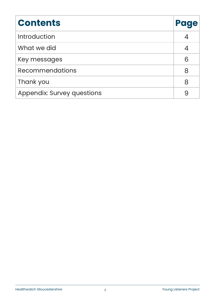| <b>Contents</b>                   | Page |
|-----------------------------------|------|
| <b>Introduction</b>               |      |
| What we did                       |      |
| Key messages                      | 6    |
| <b>Recommendations</b>            | 8    |
| Thank you                         | 8    |
| <b>Appendix: Survey questions</b> |      |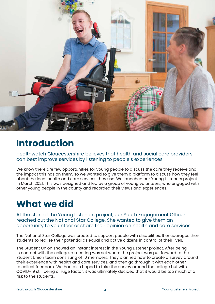

## **Introduction**

Healthwatch Gloucestershire believes that health and social care providers can best improve services by listening to people's experiences.

We know there are few opportunities for young people to discuss the care they receive and the impact this has on them, so we wanted to give them a platform to discuss how they feel about the local health and care services they use. We launched our Young Listeners project in March 2021. This was designed and led by a group of young volunteers, who engaged with other young people in the county and recorded their views and experiences.

# **What we did**

At the start of the Young Listeners project, our Youth Engagement Officer reached out the National Star College. She wanted to give them an opportunity to volunteer or share their opinion on health and care services.

The National Star College was created to support people with disabilities. It encourages their students to realise their potential as equal and active citizens in control of their lives.

The Student Union showed an instant interest in the Young Listener project. After being in contact with the college, a meeting was set where the project was put forward to the Student Union team consisting of 10 members. They planned how to create a survey around their experience with health and care services, and then go through it with each other to collect feedback. We had also hoped to take the survey around the college but with COVID-19 still being a huge factor, it was ultimately decided that it would be too much of a risk to the students.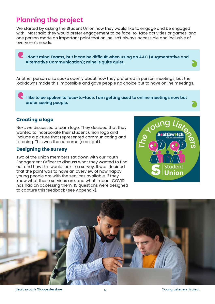### **Planning the project**

We started by asking the Student Union how they would like to engage and be engaged with. Most said they would prefer engagement to be face-to-face activities or games, and one person made an important point that online isn't always accessible and inclusive of everyone's needs.

**I don't mind Teams, but it can be difficult when using an AAC (Augmentative and Alternative Communication); mine is quite quiet.**

Another person also spoke openly about how they preferred in person meetings, but the lockdowns made this impossible and gave people no choice but to have online meetings.

**I like to be spoken to face-to-face. I am getting used to online meetings now but prefer seeing people.**

#### **Creating a logo**

Next, we discussed a team logo. They decided that they wanted to incorporate their student union logo and include a picture that represented communicating and listening. This was the outcome (see right).

#### **Designing the survey**

Two of the union members sat down with our Youth Engagement Officer to discuss what they wanted to find out and how this would look in a survey. It was decided that the point was to have an overview of how happy young people are with the services available, if they know what those services are, and what impact COVID has had on accessing them. 15 questions were designed to capture this feedback (see Appendix).



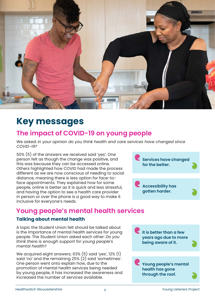

## **Key messages**

### **The impact of COVID-19 on young people**

We asked: *In your opinion do you think health and care services have changed since COVID-19?*

50% (5) of the answers we received said 'yes'. One person felt as though the change was positive, and this was because they can be accessed online. Others highlighted how COVID had made the process different as we are now conscious of needing to social distance, meaning there is less option for face-toface appointments. They explained how for some people, online is better as it is quick and less stressful, and having the option to see a health care provider in person or over the phone is a good way to make it inclusive for everyone's needs.



### **Young people's mental health services**

#### **Talking about mental health**

A topic the Student Union felt should be talked about is the importance of mental health services for young people. The Student Union asked each other: *Do you think there is enough support for young people's mental health?*

We acquired eight answers; 63% (5) said 'yes', 12% (1) said 'no' and the remaining 25% (2) said 'sometimes'. One person went onto explain how, due to the promotion of mental health services being needed by young people, it has increased the awareness and increased the number of services available.

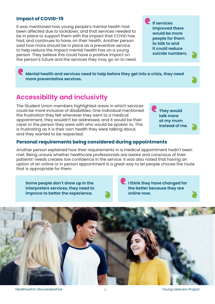#### **Impact of COVID-19**

It was mentioned how young people's mental health had been affected due to lockdown, and that services needed to be in place to support them with the impact that COVID has had, and continues to have, on their health. Another person said how more should be in place as a preventive service to help reduce the impact mental health has on a young person. They believe this could have a positive impact on the person's future and the services they may go on to need. **If services improved there would be more people for them to talk to and it could reduce suicide numbers.**

> **They would talk more at my mum instead of me.**

**Mental health and services need to help before they get into a crisis, they need more preventative services.**

### **Accessibility and inclusivity**

The Student Union members highlighted areas in which services could be more inclusive of disabilities. One individual mentioned the frustration they felt whenever they went to a medical appointment, they wouldn't be addressed, and it would be their carer or the person they were with who would be spoken to. This is frustrating as it is their own health they were talking about, and they wanted to be respected.

#### **Personal requirements being considered during appointments**

Another person explained how their requirements in a medical appointment hadn't been met. Being unsure whether healthcare professionals are aware and conscious of their patients' needs creates low confidence in the service. It was also noted that having an option of an online or in person appointment is a great way to let people choose the route that is appropriate for them.

**Some people don't show up in the interpreters services, they need to improve to better the experience.**

**I think they have changed for the better because they are online now.**



Healthwatch Gloucestershire  $\frac{7}{2}$  Towns 2001 and Thealthwatch Gloucestershire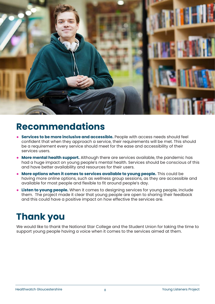

## **Recommendations**

- **● Services to be more inclusive and accessible.** People with access needs should feel confident that when they approach a service, their requirements will be met. This should be a requirement every service should meet for the ease and accessibility of their services users.
- **● More mental health support.** Although there are services available, the pandemic has had a huge impact on young people's mental health. Services should be conscious of this and have better availability and resources for their users.
- **● More options when it comes to services available to young people.** This could be having more online options, such as wellness group sessions, as they are accessible and available for most people and flexible to fit around people's day.
- **● Listen to young people.** When it comes to designing services for young people, include them. The project made it clear that young people are open to sharing their feedback and this could have a positive impact on how effective the services are.

# **Thank you**

We would like to thank the National Star College and the Student Union for taking the time to support young people having a voice when it comes to the services aimed at them.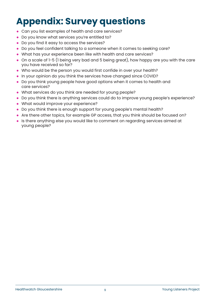# **Appendix: Survey questions**

- **●** Can you list examples of health and care services?
- **●** Do you know what services you're entitled to?
- **●** Do you find it easy to access the services?
- **●** Do you feel confident talking to a someone when it comes to seeking care?
- **●** What has your experience been like with health and care services?
- **●** On a scale of 1-5 (1 being very bad and 5 being great), how happy are you with the care you have received so far?
- **●** Who would be the person you would first confide in over your health?
- **●** In your opinion do you think the services have changed since COVID?
- **●** Do you think young people have good options when it comes to health and care services?
- **●** What services do you think are needed for young people?
- **●** Do you think there is anything services could do to improve young people's experience?
- **●** What would improve your experience?
- **●** Do you think there is enough support for young people's mental health?
- **●** Are there other topics, for example GP access, that you think should be focused on?
- **●** Is there anything else you would like to comment on regarding services aimed at young people?